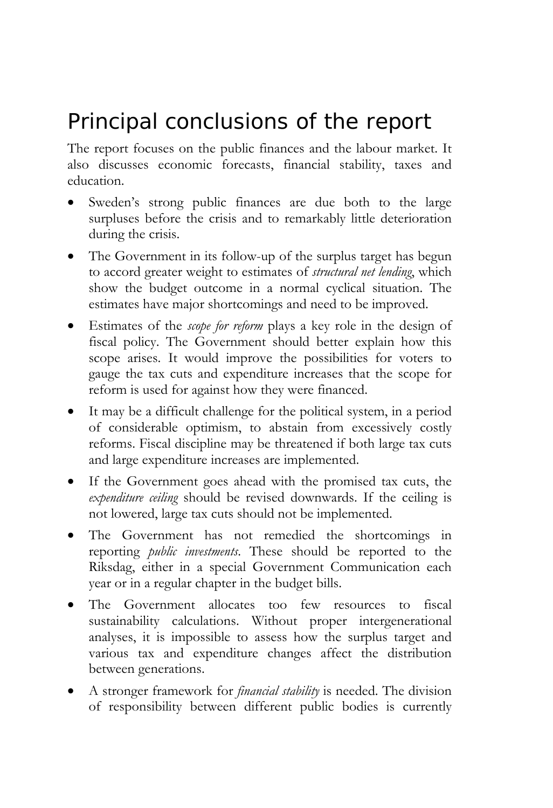# Principal conclusions of the report

The report focuses on the public finances and the labour market. It also discusses economic forecasts, financial stability, taxes and education.

- Sweden's strong public finances are due both to the large surpluses before the crisis and to remarkably little deterioration during the crisis.
- The Government in its follow-up of the surplus target has begun to accord greater weight to estimates of *structural net lending*, which show the budget outcome in a normal cyclical situation. The estimates have major shortcomings and need to be improved.
- Estimates of the *scope for reform* plays a key role in the design of fiscal policy. The Government should better explain how this scope arises. It would improve the possibilities for voters to gauge the tax cuts and expenditure increases that the scope for reform is used for against how they were financed.
- It may be a difficult challenge for the political system, in a period of considerable optimism, to abstain from excessively costly reforms. Fiscal discipline may be threatened if both large tax cuts and large expenditure increases are implemented.
- If the Government goes ahead with the promised tax cuts, the *expenditure ceiling* should be revised downwards. If the ceiling is not lowered, large tax cuts should not be implemented.
- The Government has not remedied the shortcomings in reporting *public investments*. These should be reported to the Riksdag, either in a special Government Communication each year or in a regular chapter in the budget bills.
- The Government allocates too few resources to fiscal sustainability calculations. Without proper intergenerational analyses, it is impossible to assess how the surplus target and various tax and expenditure changes affect the distribution between generations.
- A stronger framework for *financial stability* is needed. The division of responsibility between different public bodies is currently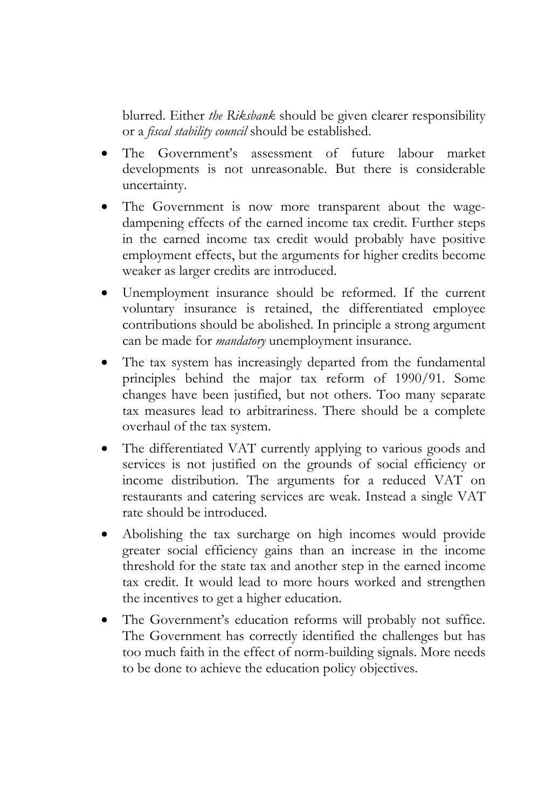blurred. Either *the Riksbank* should be given clearer responsibility or a *fiscal stability council* should be established.

- The Government's assessment of future labour market developments is not unreasonable. But there is considerable uncertainty.
- The Government is now more transparent about the wagedampening effects of the earned income tax credit. Further steps in the earned income tax credit would probably have positive employment effects, but the arguments for higher credits become weaker as larger credits are introduced.
- Unemployment insurance should be reformed. If the current voluntary insurance is retained, the differentiated employee contributions should be abolished. In principle a strong argument can be made for *mandatory* unemployment insurance.
- The tax system has increasingly departed from the fundamental principles behind the major tax reform of 1990/91. Some changes have been justified, but not others. Too many separate tax measures lead to arbitrariness. There should be a complete overhaul of the tax system.
- The differentiated VAT currently applying to various goods and services is not justified on the grounds of social efficiency or income distribution. The arguments for a reduced VAT on restaurants and catering services are weak. Instead a single VAT rate should be introduced.
- Abolishing the tax surcharge on high incomes would provide greater social efficiency gains than an increase in the income threshold for the state tax and another step in the earned income tax credit. It would lead to more hours worked and strengthen the incentives to get a higher education.
- The Government's education reforms will probably not suffice. The Government has correctly identified the challenges but has too much faith in the effect of norm-building signals. More needs to be done to achieve the education policy objectives.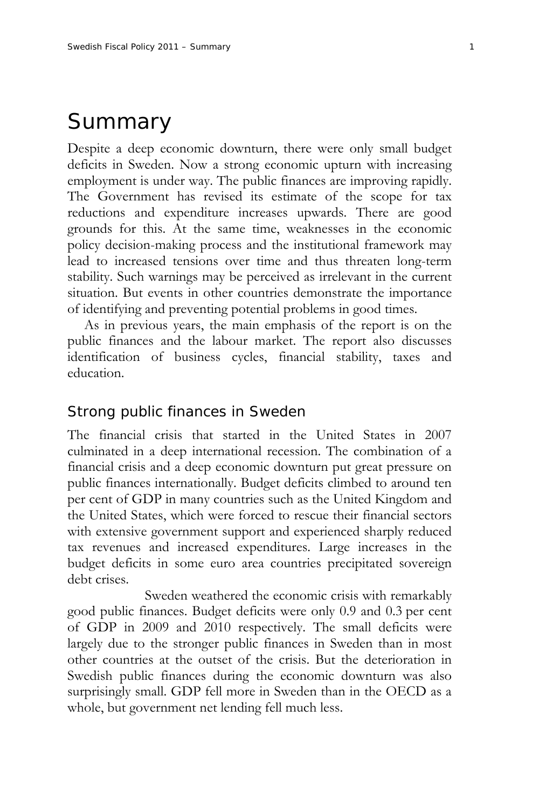# Summary

Despite a deep economic downturn, there were only small budget deficits in Sweden. Now a strong economic upturn with increasing employment is under way. The public finances are improving rapidly. The Government has revised its estimate of the scope for tax reductions and expenditure increases upwards. There are good grounds for this. At the same time, weaknesses in the economic policy decision-making process and the institutional framework may lead to increased tensions over time and thus threaten long-term stability. Such warnings may be perceived as irrelevant in the current situation. But events in other countries demonstrate the importance of identifying and preventing potential problems in good times.

As in previous years, the main emphasis of the report is on the public finances and the labour market. The report also discusses identification of business cycles, financial stability, taxes and education.

#### Strong public finances in Sweden

The financial crisis that started in the United States in 2007 culminated in a deep international recession. The combination of a financial crisis and a deep economic downturn put great pressure on public finances internationally. Budget deficits climbed to around ten per cent of GDP in many countries such as the United Kingdom and the United States, which were forced to rescue their financial sectors with extensive government support and experienced sharply reduced tax revenues and increased expenditures. Large increases in the budget deficits in some euro area countries precipitated sovereign debt crises.

 Sweden weathered the economic crisis with remarkably good public finances. Budget deficits were only 0.9 and 0.3 per cent of GDP in 2009 and 2010 respectively. The small deficits were largely due to the stronger public finances in Sweden than in most other countries at the outset of the crisis. But the deterioration in Swedish public finances during the economic downturn was also surprisingly small. GDP fell more in Sweden than in the OECD as a whole, but government net lending fell much less.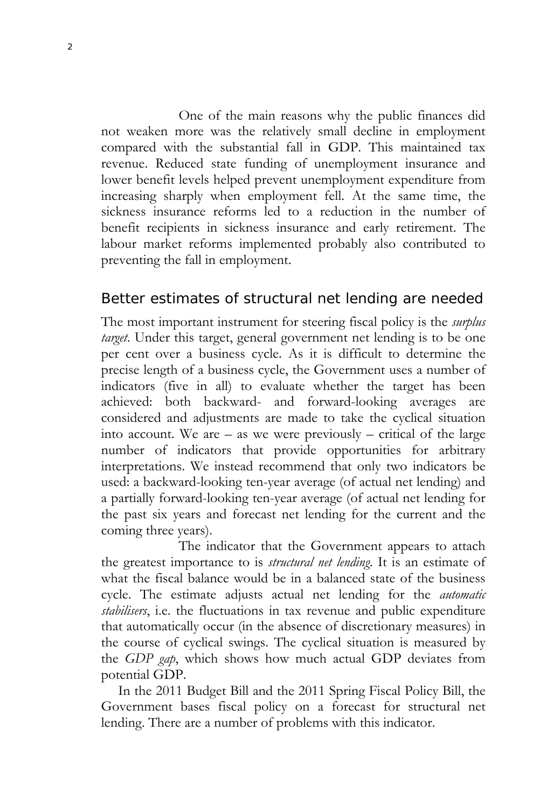One of the main reasons why the public finances did not weaken more was the relatively small decline in employment compared with the substantial fall in GDP. This maintained tax revenue. Reduced state funding of unemployment insurance and lower benefit levels helped prevent unemployment expenditure from increasing sharply when employment fell. At the same time, the sickness insurance reforms led to a reduction in the number of benefit recipients in sickness insurance and early retirement. The labour market reforms implemented probably also contributed to preventing the fall in employment.

# Better estimates of structural net lending are needed

The most important instrument for steering fiscal policy is the *surplus target*. Under this target, general government net lending is to be one per cent over a business cycle. As it is difficult to determine the precise length of a business cycle, the Government uses a number of indicators (five in all) to evaluate whether the target has been achieved: both backward- and forward-looking averages are considered and adjustments are made to take the cyclical situation into account. We are – as we were previously – critical of the large number of indicators that provide opportunities for arbitrary interpretations. We instead recommend that only two indicators be used: a backward-looking ten-year average (of actual net lending) and a partially forward-looking ten-year average (of actual net lending for the past six years and forecast net lending for the current and the coming three years).

 The indicator that the Government appears to attach the greatest importance to is *structural net lending*. It is an estimate of what the fiscal balance would be in a balanced state of the business cycle. The estimate adjusts actual net lending for the *automatic stabilisers*, i.e. the fluctuations in tax revenue and public expenditure that automatically occur (in the absence of discretionary measures) in the course of cyclical swings. The cyclical situation is measured by the *GDP gap*, which shows how much actual GDP deviates from potential GDP.

In the 2011 Budget Bill and the 2011 Spring Fiscal Policy Bill, the Government bases fiscal policy on a forecast for structural net lending. There are a number of problems with this indicator.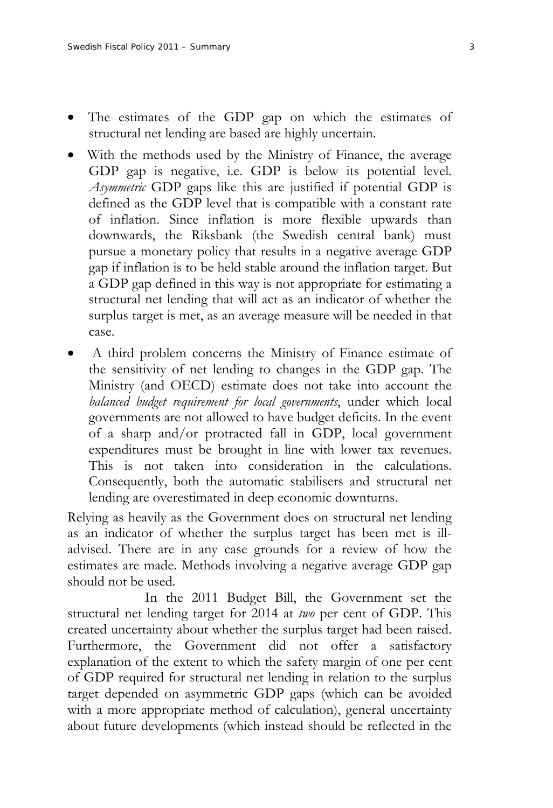- The estimates of the GDP gap on which the estimates of structural net lending are based are highly uncertain.
- With the methods used by the Ministry of Finance, the average GDP gap is negative, i.e. GDP is below its potential level. *Asymmetric* GDP gaps like this are justified if potential GDP is defined as the GDP level that is compatible with a constant rate of inflation. Since inflation is more flexible upwards than downwards, the Riksbank (the Swedish central bank) must pursue a monetary policy that results in a negative average GDP gap if inflation is to be held stable around the inflation target. But a GDP gap defined in this way is not appropriate for estimating a structural net lending that will act as an indicator of whether the surplus target is met, as an average measure will be needed in that case.
- A third problem concerns the Ministry of Finance estimate of the sensitivity of net lending to changes in the GDP gap. The Ministry (and OECD) estimate does not take into account the *balanced budget requirement for local governments*, under which local governments are not allowed to have budget deficits. In the event of a sharp and/or protracted fall in GDP, local government expenditures must be brought in line with lower tax revenues. This is not taken into consideration in the calculations. Consequently, both the automatic stabilisers and structural net lending are overestimated in deep economic downturns.

Relying as heavily as the Government does on structural net lending as an indicator of whether the surplus target has been met is illadvised. There are in any case grounds for a review of how the estimates are made. Methods involving a negative average GDP gap should not be used.

 In the 2011 Budget Bill, the Government set the structural net lending target for 2014 at *two* per cent of GDP. This created uncertainty about whether the surplus target had been raised. Furthermore, the Government did not offer a satisfactory explanation of the extent to which the safety margin of one per cent of GDP required for structural net lending in relation to the surplus target depended on asymmetric GDP gaps (which can be avoided with a more appropriate method of calculation), general uncertainty about future developments (which instead should be reflected in the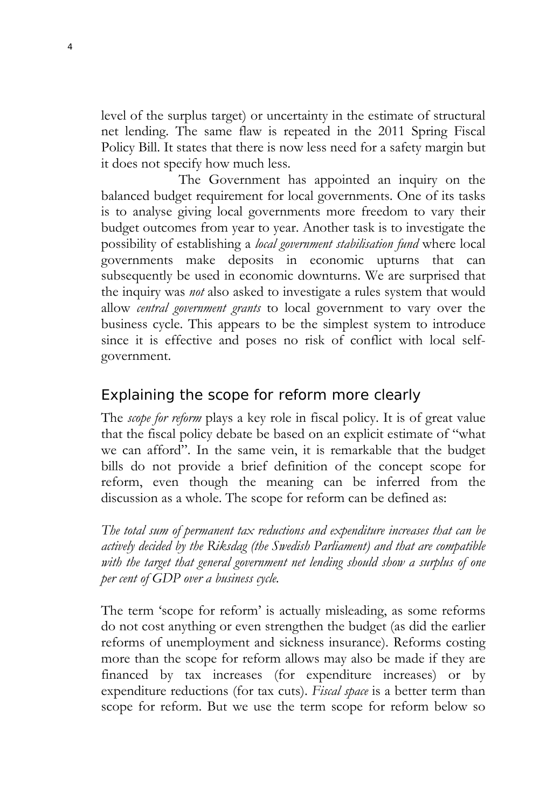level of the surplus target) or uncertainty in the estimate of structural net lending. The same flaw is repeated in the 2011 Spring Fiscal Policy Bill. It states that there is now less need for a safety margin but it does not specify how much less.

 The Government has appointed an inquiry on the balanced budget requirement for local governments. One of its tasks is to analyse giving local governments more freedom to vary their budget outcomes from year to year. Another task is to investigate the possibility of establishing a *local government stabilisation fund* where local governments make deposits in economic upturns that can subsequently be used in economic downturns. We are surprised that the inquiry was *not* also asked to investigate a rules system that would allow *central government grants* to local government to vary over the business cycle. This appears to be the simplest system to introduce since it is effective and poses no risk of conflict with local selfgovernment.

# Explaining the scope for reform more clearly

The *scope for reform* plays a key role in fiscal policy. It is of great value that the fiscal policy debate be based on an explicit estimate of "what we can afford". In the same vein, it is remarkable that the budget bills do not provide a brief definition of the concept scope for reform, even though the meaning can be inferred from the discussion as a whole. The scope for reform can be defined as:

*The total sum of permanent tax reductions and expenditure increases that can be actively decided by the Riksdag (the Swedish Parliament) and that are compatible with the target that general government net lending should show a surplus of one per cent of GDP over a business cycle.* 

The term 'scope for reform' is actually misleading, as some reforms do not cost anything or even strengthen the budget (as did the earlier reforms of unemployment and sickness insurance). Reforms costing more than the scope for reform allows may also be made if they are financed by tax increases (for expenditure increases) or by expenditure reductions (for tax cuts). *Fiscal space* is a better term than scope for reform. But we use the term scope for reform below so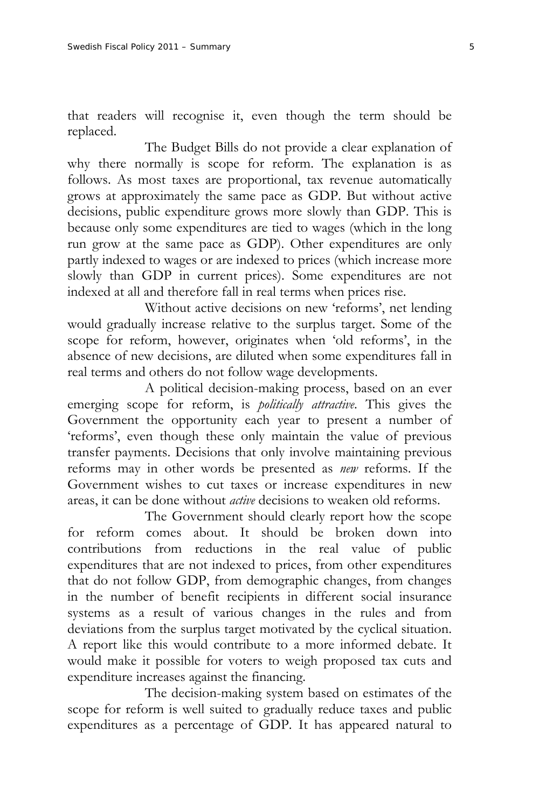that readers will recognise it, even though the term should be replaced.

 The Budget Bills do not provide a clear explanation of why there normally is scope for reform. The explanation is as follows. As most taxes are proportional, tax revenue automatically grows at approximately the same pace as GDP. But without active decisions, public expenditure grows more slowly than GDP. This is because only some expenditures are tied to wages (which in the long run grow at the same pace as GDP). Other expenditures are only partly indexed to wages or are indexed to prices (which increase more slowly than GDP in current prices). Some expenditures are not indexed at all and therefore fall in real terms when prices rise.

 Without active decisions on new 'reforms', net lending would gradually increase relative to the surplus target. Some of the scope for reform, however, originates when 'old reforms', in the absence of new decisions, are diluted when some expenditures fall in real terms and others do not follow wage developments.

 A political decision-making process, based on an ever emerging scope for reform, is *politically attractive*. This gives the Government the opportunity each year to present a number of 'reforms', even though these only maintain the value of previous transfer payments. Decisions that only involve maintaining previous reforms may in other words be presented as *new* reforms. If the Government wishes to cut taxes or increase expenditures in new areas, it can be done without *active* decisions to weaken old reforms.

 The Government should clearly report how the scope for reform comes about. It should be broken down into contributions from reductions in the real value of public expenditures that are not indexed to prices, from other expenditures that do not follow GDP, from demographic changes, from changes in the number of benefit recipients in different social insurance systems as a result of various changes in the rules and from deviations from the surplus target motivated by the cyclical situation. A report like this would contribute to a more informed debate. It would make it possible for voters to weigh proposed tax cuts and expenditure increases against the financing.

 The decision-making system based on estimates of the scope for reform is well suited to gradually reduce taxes and public expenditures as a percentage of GDP. It has appeared natural to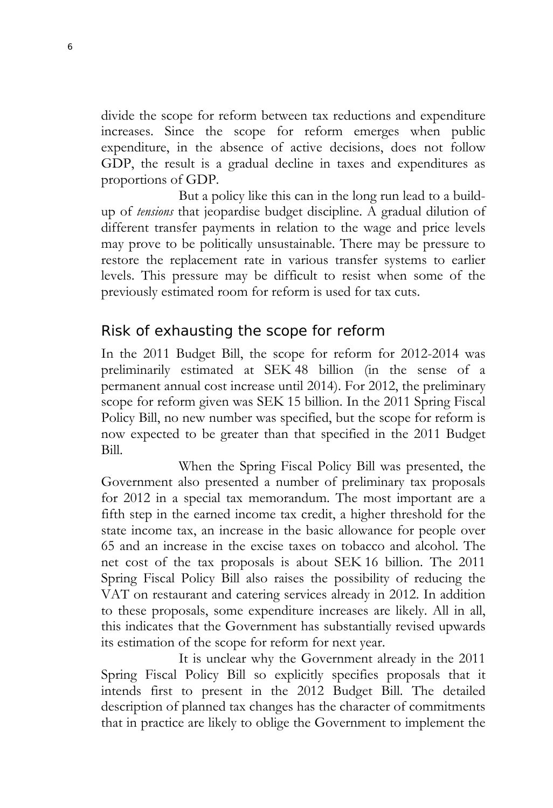divide the scope for reform between tax reductions and expenditure increases. Since the scope for reform emerges when public expenditure, in the absence of active decisions, does not follow GDP, the result is a gradual decline in taxes and expenditures as proportions of GDP.

 But a policy like this can in the long run lead to a buildup of *tensions* that jeopardise budget discipline. A gradual dilution of different transfer payments in relation to the wage and price levels may prove to be politically unsustainable. There may be pressure to restore the replacement rate in various transfer systems to earlier levels. This pressure may be difficult to resist when some of the previously estimated room for reform is used for tax cuts.

# Risk of exhausting the scope for reform

In the 2011 Budget Bill, the scope for reform for 2012-2014 was preliminarily estimated at SEK 48 billion (in the sense of a permanent annual cost increase until 2014). For 2012, the preliminary scope for reform given was SEK 15 billion. In the 2011 Spring Fiscal Policy Bill, no new number was specified, but the scope for reform is now expected to be greater than that specified in the 2011 Budget Bill.

 When the Spring Fiscal Policy Bill was presented, the Government also presented a number of preliminary tax proposals for 2012 in a special tax memorandum. The most important are a fifth step in the earned income tax credit, a higher threshold for the state income tax, an increase in the basic allowance for people over 65 and an increase in the excise taxes on tobacco and alcohol. The net cost of the tax proposals is about SEK 16 billion. The 2011 Spring Fiscal Policy Bill also raises the possibility of reducing the VAT on restaurant and catering services already in 2012. In addition to these proposals, some expenditure increases are likely. All in all, this indicates that the Government has substantially revised upwards its estimation of the scope for reform for next year.

 It is unclear why the Government already in the 2011 Spring Fiscal Policy Bill so explicitly specifies proposals that it intends first to present in the 2012 Budget Bill. The detailed description of planned tax changes has the character of commitments that in practice are likely to oblige the Government to implement the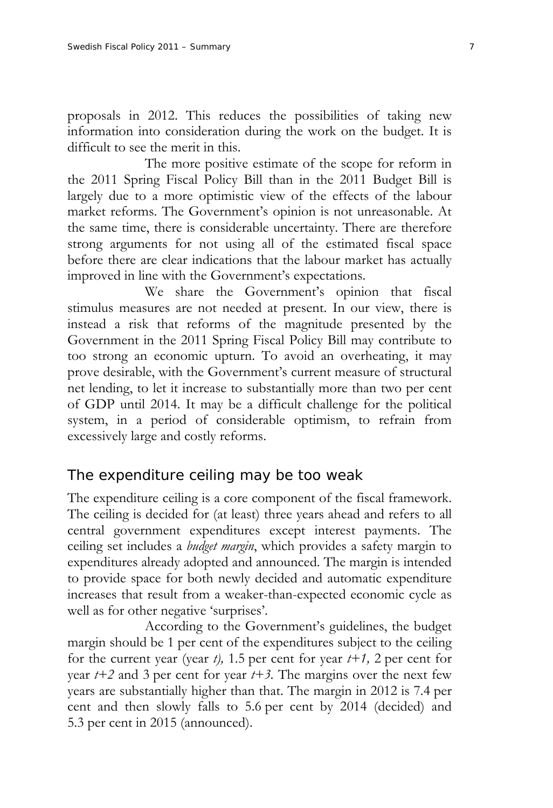proposals in 2012. This reduces the possibilities of taking new information into consideration during the work on the budget. It is difficult to see the merit in this.

 The more positive estimate of the scope for reform in the 2011 Spring Fiscal Policy Bill than in the 2011 Budget Bill is largely due to a more optimistic view of the effects of the labour market reforms. The Government's opinion is not unreasonable. At the same time, there is considerable uncertainty. There are therefore strong arguments for not using all of the estimated fiscal space before there are clear indications that the labour market has actually improved in line with the Government's expectations.

 We share the Government's opinion that fiscal stimulus measures are not needed at present. In our view, there is instead a risk that reforms of the magnitude presented by the Government in the 2011 Spring Fiscal Policy Bill may contribute to too strong an economic upturn. To avoid an overheating, it may prove desirable, with the Government's current measure of structural net lending, to let it increase to substantially more than two per cent of GDP until 2014. It may be a difficult challenge for the political system, in a period of considerable optimism, to refrain from excessively large and costly reforms.

#### The expenditure ceiling may be too weak

The expenditure ceiling is a core component of the fiscal framework. The ceiling is decided for (at least) three years ahead and refers to all central government expenditures except interest payments. The ceiling set includes a *budget margin*, which provides a safety margin to expenditures already adopted and announced. The margin is intended to provide space for both newly decided and automatic expenditure increases that result from a weaker-than-expected economic cycle as well as for other negative 'surprises'.

 According to the Government's guidelines, the budget margin should be 1 per cent of the expenditures subject to the ceiling for the current year (year  $t$ ), 1.5 per cent for year  $t+1$ , 2 per cent for year  $t+2$  and 3 per cent for year  $t+3$ . The margins over the next few years are substantially higher than that. The margin in 2012 is 7.4 per cent and then slowly falls to 5.6 per cent by 2014 (decided) and 5.3 per cent in 2015 (announced).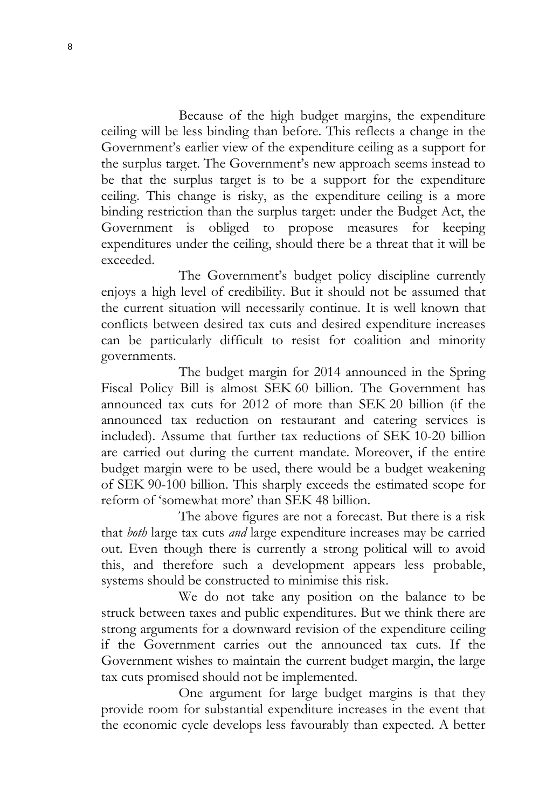Because of the high budget margins, the expenditure ceiling will be less binding than before. This reflects a change in the Government's earlier view of the expenditure ceiling as a support for the surplus target. The Government's new approach seems instead to be that the surplus target is to be a support for the expenditure ceiling. This change is risky, as the expenditure ceiling is a more binding restriction than the surplus target: under the Budget Act, the Government is obliged to propose measures for keeping expenditures under the ceiling, should there be a threat that it will be exceeded.

 The Government's budget policy discipline currently enjoys a high level of credibility. But it should not be assumed that the current situation will necessarily continue. It is well known that conflicts between desired tax cuts and desired expenditure increases can be particularly difficult to resist for coalition and minority governments.

 The budget margin for 2014 announced in the Spring Fiscal Policy Bill is almost SEK 60 billion. The Government has announced tax cuts for 2012 of more than SEK 20 billion (if the announced tax reduction on restaurant and catering services is included). Assume that further tax reductions of SEK 10-20 billion are carried out during the current mandate. Moreover, if the entire budget margin were to be used, there would be a budget weakening of SEK 90-100 billion. This sharply exceeds the estimated scope for reform of 'somewhat more' than SEK 48 billion.

 The above figures are not a forecast. But there is a risk that *both* large tax cuts *and* large expenditure increases may be carried out. Even though there is currently a strong political will to avoid this, and therefore such a development appears less probable, systems should be constructed to minimise this risk.

 We do not take any position on the balance to be struck between taxes and public expenditures. But we think there are strong arguments for a downward revision of the expenditure ceiling if the Government carries out the announced tax cuts. If the Government wishes to maintain the current budget margin, the large tax cuts promised should not be implemented.

 One argument for large budget margins is that they provide room for substantial expenditure increases in the event that the economic cycle develops less favourably than expected. A better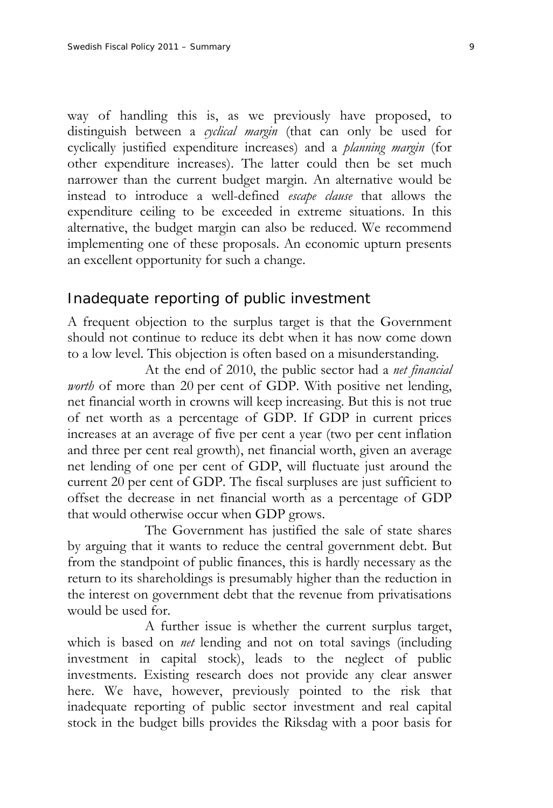way of handling this is, as we previously have proposed, to distinguish between a *cyclical margin* (that can only be used for cyclically justified expenditure increases) and a *planning margin* (for other expenditure increases). The latter could then be set much narrower than the current budget margin. An alternative would be instead to introduce a well-defined *escape clause* that allows the expenditure ceiling to be exceeded in extreme situations. In this alternative, the budget margin can also be reduced. We recommend implementing one of these proposals. An economic upturn presents an excellent opportunity for such a change.

# Inadequate reporting of public investment

A frequent objection to the surplus target is that the Government should not continue to reduce its debt when it has now come down to a low level. This objection is often based on a misunderstanding.

 At the end of 2010, the public sector had a *net financial worth* of more than 20 per cent of GDP. With positive net lending, net financial worth in crowns will keep increasing. But this is not true of net worth as a percentage of GDP. If GDP in current prices increases at an average of five per cent a year (two per cent inflation and three per cent real growth), net financial worth, given an average net lending of one per cent of GDP, will fluctuate just around the current 20 per cent of GDP. The fiscal surpluses are just sufficient to offset the decrease in net financial worth as a percentage of GDP that would otherwise occur when GDP grows.

 The Government has justified the sale of state shares by arguing that it wants to reduce the central government debt. But from the standpoint of public finances, this is hardly necessary as the return to its shareholdings is presumably higher than the reduction in the interest on government debt that the revenue from privatisations would be used for.

 A further issue is whether the current surplus target, which is based on *net* lending and not on total savings (including investment in capital stock), leads to the neglect of public investments. Existing research does not provide any clear answer here. We have, however, previously pointed to the risk that inadequate reporting of public sector investment and real capital stock in the budget bills provides the Riksdag with a poor basis for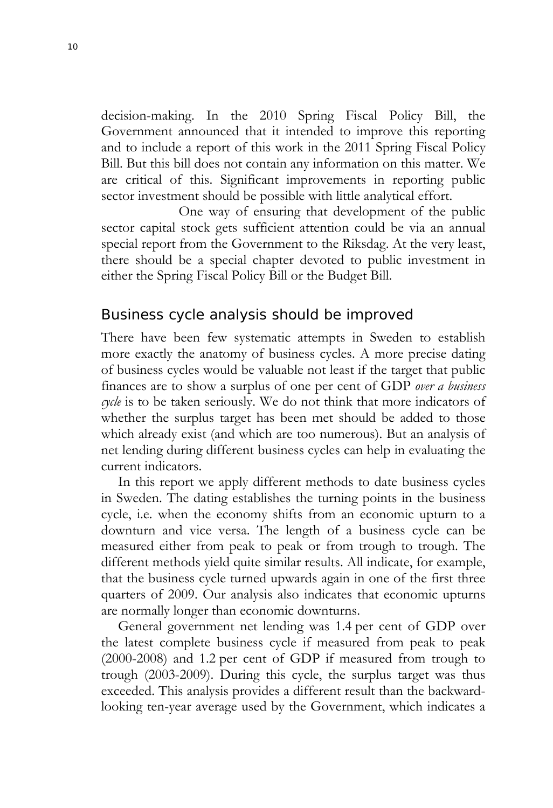decision-making. In the 2010 Spring Fiscal Policy Bill, the Government announced that it intended to improve this reporting and to include a report of this work in the 2011 Spring Fiscal Policy Bill. But this bill does not contain any information on this matter. We are critical of this. Significant improvements in reporting public sector investment should be possible with little analytical effort.

 One way of ensuring that development of the public sector capital stock gets sufficient attention could be via an annual special report from the Government to the Riksdag. At the very least, there should be a special chapter devoted to public investment in either the Spring Fiscal Policy Bill or the Budget Bill.

#### Business cycle analysis should be improved

There have been few systematic attempts in Sweden to establish more exactly the anatomy of business cycles. A more precise dating of business cycles would be valuable not least if the target that public finances are to show a surplus of one per cent of GDP *over a business cycle* is to be taken seriously. We do not think that more indicators of whether the surplus target has been met should be added to those which already exist (and which are too numerous). But an analysis of net lending during different business cycles can help in evaluating the current indicators.

In this report we apply different methods to date business cycles in Sweden. The dating establishes the turning points in the business cycle, i.e. when the economy shifts from an economic upturn to a downturn and vice versa. The length of a business cycle can be measured either from peak to peak or from trough to trough. The different methods yield quite similar results. All indicate, for example, that the business cycle turned upwards again in one of the first three quarters of 2009. Our analysis also indicates that economic upturns are normally longer than economic downturns.

General government net lending was 1.4 per cent of GDP over the latest complete business cycle if measured from peak to peak (2000-2008) and 1.2 per cent of GDP if measured from trough to trough (2003-2009). During this cycle, the surplus target was thus exceeded. This analysis provides a different result than the backwardlooking ten-year average used by the Government, which indicates a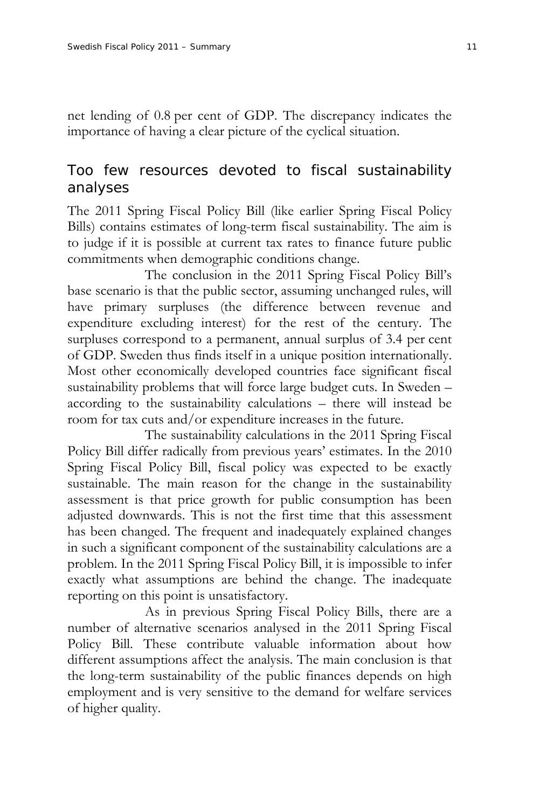net lending of 0.8 per cent of GDP. The discrepancy indicates the importance of having a clear picture of the cyclical situation.

# Too few resources devoted to fiscal sustainability analyses

The 2011 Spring Fiscal Policy Bill (like earlier Spring Fiscal Policy Bills) contains estimates of long-term fiscal sustainability. The aim is to judge if it is possible at current tax rates to finance future public commitments when demographic conditions change.

 The conclusion in the 2011 Spring Fiscal Policy Bill's base scenario is that the public sector, assuming unchanged rules, will have primary surpluses (the difference between revenue and expenditure excluding interest) for the rest of the century. The surpluses correspond to a permanent, annual surplus of 3.4 per cent of GDP. Sweden thus finds itself in a unique position internationally. Most other economically developed countries face significant fiscal sustainability problems that will force large budget cuts. In Sweden – according to the sustainability calculations – there will instead be room for tax cuts and/or expenditure increases in the future.

 The sustainability calculations in the 2011 Spring Fiscal Policy Bill differ radically from previous years' estimates. In the 2010 Spring Fiscal Policy Bill, fiscal policy was expected to be exactly sustainable. The main reason for the change in the sustainability assessment is that price growth for public consumption has been adjusted downwards. This is not the first time that this assessment has been changed. The frequent and inadequately explained changes in such a significant component of the sustainability calculations are a problem. In the 2011 Spring Fiscal Policy Bill, it is impossible to infer exactly what assumptions are behind the change. The inadequate reporting on this point is unsatisfactory.

 As in previous Spring Fiscal Policy Bills, there are a number of alternative scenarios analysed in the 2011 Spring Fiscal Policy Bill. These contribute valuable information about how different assumptions affect the analysis. The main conclusion is that the long-term sustainability of the public finances depends on high employment and is very sensitive to the demand for welfare services of higher quality.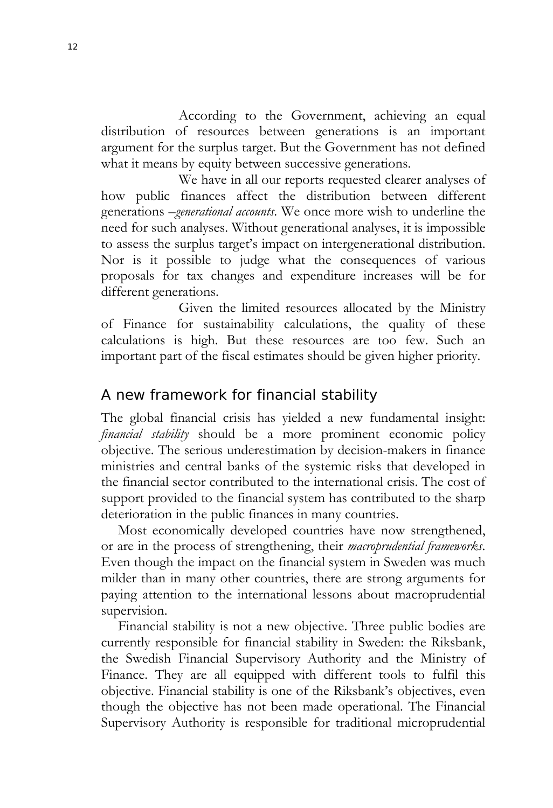According to the Government, achieving an equal distribution of resources between generations is an important argument for the surplus target. But the Government has not defined what it means by equity between successive generations.

We have in all our reports requested clearer analyses of how public finances affect the distribution between different generations –*generational accounts*. We once more wish to underline the need for such analyses. Without generational analyses, it is impossible to assess the surplus target's impact on intergenerational distribution. Nor is it possible to judge what the consequences of various proposals for tax changes and expenditure increases will be for different generations.

 Given the limited resources allocated by the Ministry of Finance for sustainability calculations, the quality of these calculations is high. But these resources are too few. Such an important part of the fiscal estimates should be given higher priority.

# A new framework for financial stability

The global financial crisis has yielded a new fundamental insight: *financial stability* should be a more prominent economic policy objective. The serious underestimation by decision-makers in finance ministries and central banks of the systemic risks that developed in the financial sector contributed to the international crisis. The cost of support provided to the financial system has contributed to the sharp deterioration in the public finances in many countries.

Most economically developed countries have now strengthened, or are in the process of strengthening, their *macroprudential frameworks*. Even though the impact on the financial system in Sweden was much milder than in many other countries, there are strong arguments for paying attention to the international lessons about macroprudential supervision.

Financial stability is not a new objective. Three public bodies are currently responsible for financial stability in Sweden: the Riksbank, the Swedish Financial Supervisory Authority and the Ministry of Finance. They are all equipped with different tools to fulfil this objective. Financial stability is one of the Riksbank's objectives, even though the objective has not been made operational. The Financial Supervisory Authority is responsible for traditional microprudential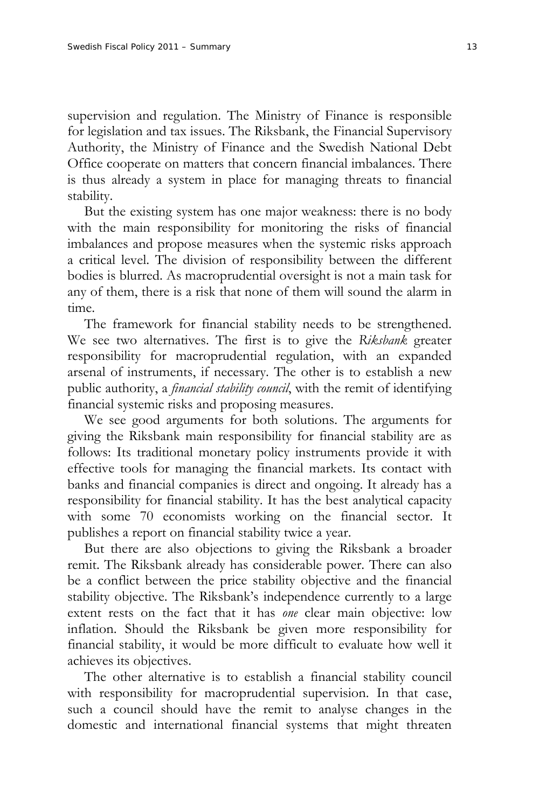supervision and regulation. The Ministry of Finance is responsible for legislation and tax issues. The Riksbank, the Financial Supervisory Authority, the Ministry of Finance and the Swedish National Debt Office cooperate on matters that concern financial imbalances. There is thus already a system in place for managing threats to financial stability.

But the existing system has one major weakness: there is no body with the main responsibility for monitoring the risks of financial imbalances and propose measures when the systemic risks approach a critical level. The division of responsibility between the different bodies is blurred. As macroprudential oversight is not a main task for any of them, there is a risk that none of them will sound the alarm in time.

The framework for financial stability needs to be strengthened. We see two alternatives. The first is to give the *Riksbank* greater responsibility for macroprudential regulation, with an expanded arsenal of instruments, if necessary. The other is to establish a new public authority, a *financial stability council*, with the remit of identifying financial systemic risks and proposing measures.

We see good arguments for both solutions. The arguments for giving the Riksbank main responsibility for financial stability are as follows: Its traditional monetary policy instruments provide it with effective tools for managing the financial markets. Its contact with banks and financial companies is direct and ongoing. It already has a responsibility for financial stability. It has the best analytical capacity with some 70 economists working on the financial sector. It publishes a report on financial stability twice a year.

But there are also objections to giving the Riksbank a broader remit. The Riksbank already has considerable power. There can also be a conflict between the price stability objective and the financial stability objective. The Riksbank's independence currently to a large extent rests on the fact that it has *one* clear main objective: low inflation. Should the Riksbank be given more responsibility for financial stability, it would be more difficult to evaluate how well it achieves its objectives.

The other alternative is to establish a financial stability council with responsibility for macroprudential supervision. In that case, such a council should have the remit to analyse changes in the domestic and international financial systems that might threaten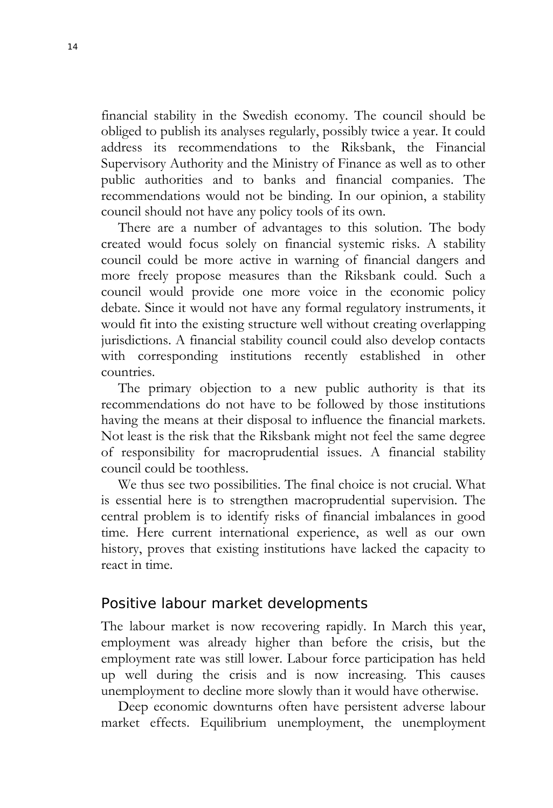financial stability in the Swedish economy. The council should be obliged to publish its analyses regularly, possibly twice a year. It could address its recommendations to the Riksbank, the Financial Supervisory Authority and the Ministry of Finance as well as to other public authorities and to banks and financial companies. The recommendations would not be binding. In our opinion, a stability council should not have any policy tools of its own.

There are a number of advantages to this solution. The body created would focus solely on financial systemic risks. A stability council could be more active in warning of financial dangers and more freely propose measures than the Riksbank could. Such a council would provide one more voice in the economic policy debate. Since it would not have any formal regulatory instruments, it would fit into the existing structure well without creating overlapping jurisdictions. A financial stability council could also develop contacts with corresponding institutions recently established in other countries.

The primary objection to a new public authority is that its recommendations do not have to be followed by those institutions having the means at their disposal to influence the financial markets. Not least is the risk that the Riksbank might not feel the same degree of responsibility for macroprudential issues. A financial stability council could be toothless.

We thus see two possibilities. The final choice is not crucial. What is essential here is to strengthen macroprudential supervision. The central problem is to identify risks of financial imbalances in good time. Here current international experience, as well as our own history, proves that existing institutions have lacked the capacity to react in time.

#### Positive labour market developments

The labour market is now recovering rapidly. In March this year, employment was already higher than before the crisis, but the employment rate was still lower. Labour force participation has held up well during the crisis and is now increasing. This causes unemployment to decline more slowly than it would have otherwise.

Deep economic downturns often have persistent adverse labour market effects. Equilibrium unemployment, the unemployment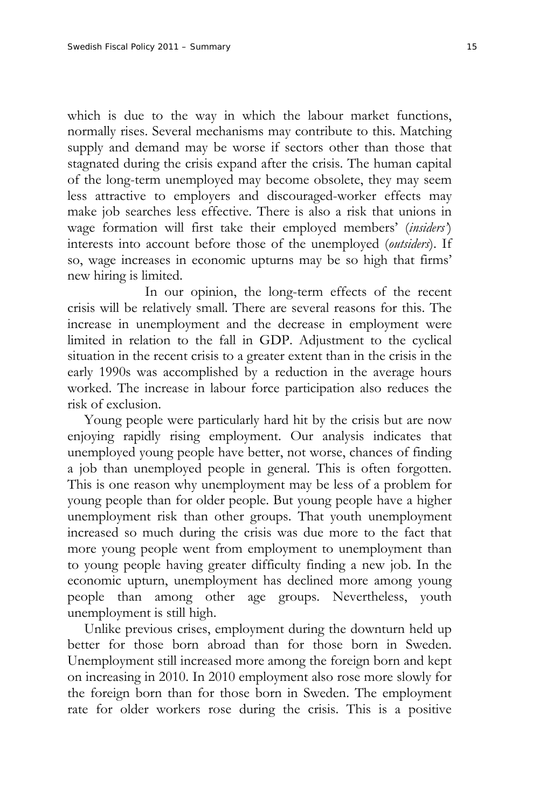which is due to the way in which the labour market functions, normally rises. Several mechanisms may contribute to this. Matching supply and demand may be worse if sectors other than those that stagnated during the crisis expand after the crisis. The human capital of the long-term unemployed may become obsolete, they may seem less attractive to employers and discouraged-worker effects may make job searches less effective. There is also a risk that unions in wage formation will first take their employed members' (*insiders'*) interests into account before those of the unemployed (*outsiders*). If so, wage increases in economic upturns may be so high that firms' new hiring is limited.

 In our opinion, the long-term effects of the recent crisis will be relatively small. There are several reasons for this. The increase in unemployment and the decrease in employment were limited in relation to the fall in GDP. Adjustment to the cyclical situation in the recent crisis to a greater extent than in the crisis in the early 1990s was accomplished by a reduction in the average hours worked. The increase in labour force participation also reduces the risk of exclusion.

Young people were particularly hard hit by the crisis but are now enjoying rapidly rising employment. Our analysis indicates that unemployed young people have better, not worse, chances of finding a job than unemployed people in general. This is often forgotten. This is one reason why unemployment may be less of a problem for young people than for older people. But young people have a higher unemployment risk than other groups. That youth unemployment increased so much during the crisis was due more to the fact that more young people went from employment to unemployment than to young people having greater difficulty finding a new job. In the economic upturn, unemployment has declined more among young people than among other age groups. Nevertheless, youth unemployment is still high.

Unlike previous crises, employment during the downturn held up better for those born abroad than for those born in Sweden. Unemployment still increased more among the foreign born and kept on increasing in 2010. In 2010 employment also rose more slowly for the foreign born than for those born in Sweden. The employment rate for older workers rose during the crisis. This is a positive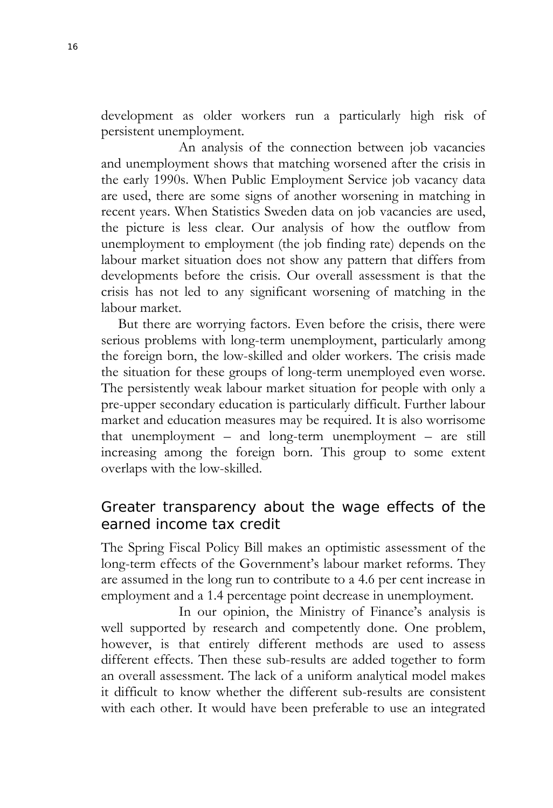development as older workers run a particularly high risk of persistent unemployment.

 An analysis of the connection between job vacancies and unemployment shows that matching worsened after the crisis in the early 1990s. When Public Employment Service job vacancy data are used, there are some signs of another worsening in matching in recent years. When Statistics Sweden data on job vacancies are used, the picture is less clear. Our analysis of how the outflow from unemployment to employment (the job finding rate) depends on the labour market situation does not show any pattern that differs from developments before the crisis. Our overall assessment is that the crisis has not led to any significant worsening of matching in the labour market.

But there are worrying factors. Even before the crisis, there were serious problems with long-term unemployment, particularly among the foreign born, the low-skilled and older workers. The crisis made the situation for these groups of long-term unemployed even worse. The persistently weak labour market situation for people with only a pre-upper secondary education is particularly difficult. Further labour market and education measures may be required. It is also worrisome that unemployment – and long-term unemployment – are still increasing among the foreign born. This group to some extent overlaps with the low-skilled.

# Greater transparency about the wage effects of the earned income tax credit

The Spring Fiscal Policy Bill makes an optimistic assessment of the long-term effects of the Government's labour market reforms. They are assumed in the long run to contribute to a 4.6 per cent increase in employment and a 1.4 percentage point decrease in unemployment.

 In our opinion, the Ministry of Finance's analysis is well supported by research and competently done. One problem, however, is that entirely different methods are used to assess different effects. Then these sub-results are added together to form an overall assessment. The lack of a uniform analytical model makes it difficult to know whether the different sub-results are consistent with each other. It would have been preferable to use an integrated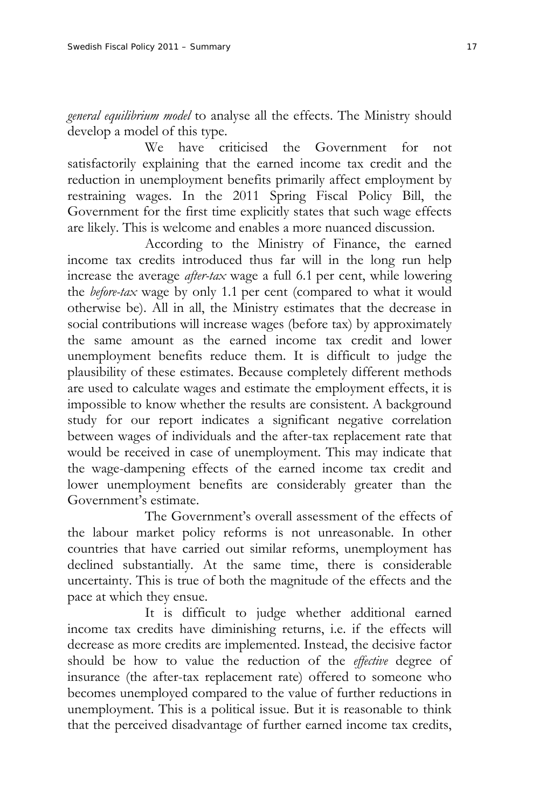*general equilibrium model* to analyse all the effects. The Ministry should develop a model of this type.

 We have criticised the Government for not satisfactorily explaining that the earned income tax credit and the reduction in unemployment benefits primarily affect employment by restraining wages. In the 2011 Spring Fiscal Policy Bill, the Government for the first time explicitly states that such wage effects are likely. This is welcome and enables a more nuanced discussion.

 According to the Ministry of Finance, the earned income tax credits introduced thus far will in the long run help increase the average *after-tax* wage a full 6.1 per cent, while lowering the *before-tax* wage by only 1.1 per cent (compared to what it would otherwise be). All in all, the Ministry estimates that the decrease in social contributions will increase wages (before tax) by approximately the same amount as the earned income tax credit and lower unemployment benefits reduce them. It is difficult to judge the plausibility of these estimates. Because completely different methods are used to calculate wages and estimate the employment effects, it is impossible to know whether the results are consistent. A background study for our report indicates a significant negative correlation between wages of individuals and the after-tax replacement rate that would be received in case of unemployment. This may indicate that the wage-dampening effects of the earned income tax credit and lower unemployment benefits are considerably greater than the Government's estimate.

 The Government's overall assessment of the effects of the labour market policy reforms is not unreasonable. In other countries that have carried out similar reforms, unemployment has declined substantially. At the same time, there is considerable uncertainty. This is true of both the magnitude of the effects and the pace at which they ensue.

 It is difficult to judge whether additional earned income tax credits have diminishing returns, i.e. if the effects will decrease as more credits are implemented. Instead, the decisive factor should be how to value the reduction of the *effective* degree of insurance (the after-tax replacement rate) offered to someone who becomes unemployed compared to the value of further reductions in unemployment. This is a political issue. But it is reasonable to think that the perceived disadvantage of further earned income tax credits,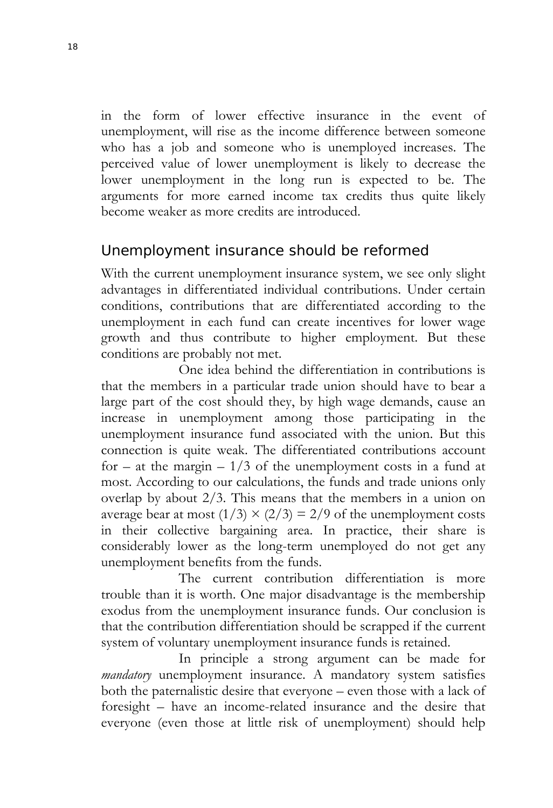in the form of lower effective insurance in the event of unemployment, will rise as the income difference between someone who has a job and someone who is unemployed increases. The perceived value of lower unemployment is likely to decrease the lower unemployment in the long run is expected to be. The arguments for more earned income tax credits thus quite likely become weaker as more credits are introduced.

# Unemployment insurance should be reformed

With the current unemployment insurance system, we see only slight advantages in differentiated individual contributions. Under certain conditions, contributions that are differentiated according to the unemployment in each fund can create incentives for lower wage growth and thus contribute to higher employment. But these conditions are probably not met.

 One idea behind the differentiation in contributions is that the members in a particular trade union should have to bear a large part of the cost should they, by high wage demands, cause an increase in unemployment among those participating in the unemployment insurance fund associated with the union. But this connection is quite weak. The differentiated contributions account for – at the margin –  $1/3$  of the unemployment costs in a fund at most. According to our calculations, the funds and trade unions only overlap by about 2/3. This means that the members in a union on average bear at most  $(1/3) \times (2/3) = 2/9$  of the unemployment costs in their collective bargaining area. In practice, their share is considerably lower as the long-term unemployed do not get any unemployment benefits from the funds.

 The current contribution differentiation is more trouble than it is worth. One major disadvantage is the membership exodus from the unemployment insurance funds. Our conclusion is that the contribution differentiation should be scrapped if the current system of voluntary unemployment insurance funds is retained.

 In principle a strong argument can be made for *mandatory* unemployment insurance. A mandatory system satisfies both the paternalistic desire that everyone – even those with a lack of foresight – have an income-related insurance and the desire that everyone (even those at little risk of unemployment) should help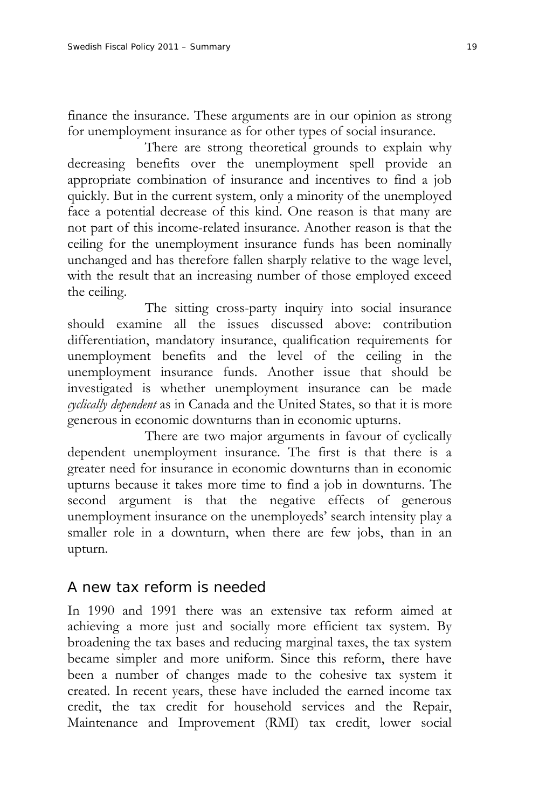finance the insurance. These arguments are in our opinion as strong for unemployment insurance as for other types of social insurance.

 There are strong theoretical grounds to explain why decreasing benefits over the unemployment spell provide an appropriate combination of insurance and incentives to find a job quickly. But in the current system, only a minority of the unemployed face a potential decrease of this kind. One reason is that many are not part of this income-related insurance. Another reason is that the ceiling for the unemployment insurance funds has been nominally unchanged and has therefore fallen sharply relative to the wage level, with the result that an increasing number of those employed exceed the ceiling.

 The sitting cross-party inquiry into social insurance should examine all the issues discussed above: contribution differentiation, mandatory insurance, qualification requirements for unemployment benefits and the level of the ceiling in the unemployment insurance funds. Another issue that should be investigated is whether unemployment insurance can be made *cyclically dependent* as in Canada and the United States, so that it is more generous in economic downturns than in economic upturns.

 There are two major arguments in favour of cyclically dependent unemployment insurance. The first is that there is a greater need for insurance in economic downturns than in economic upturns because it takes more time to find a job in downturns. The second argument is that the negative effects of generous unemployment insurance on the unemployeds' search intensity play a smaller role in a downturn, when there are few jobs, than in an upturn.

# A new tax reform is needed

In 1990 and 1991 there was an extensive tax reform aimed at achieving a more just and socially more efficient tax system. By broadening the tax bases and reducing marginal taxes, the tax system became simpler and more uniform. Since this reform, there have been a number of changes made to the cohesive tax system it created. In recent years, these have included the earned income tax credit, the tax credit for household services and the Repair, Maintenance and Improvement (RMI) tax credit, lower social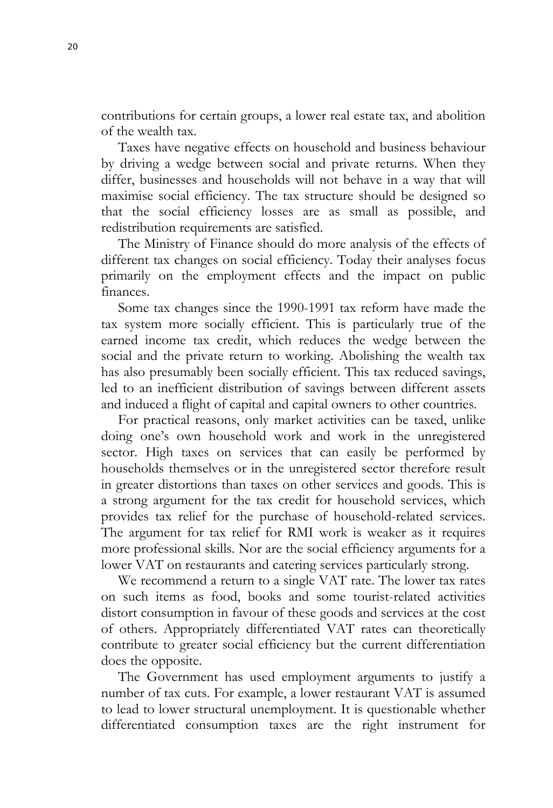contributions for certain groups, a lower real estate tax, and abolition of the wealth tax.

Taxes have negative effects on household and business behaviour by driving a wedge between social and private returns. When they differ, businesses and households will not behave in a way that will maximise social efficiency. The tax structure should be designed so that the social efficiency losses are as small as possible, and redistribution requirements are satisfied.

The Ministry of Finance should do more analysis of the effects of different tax changes on social efficiency. Today their analyses focus primarily on the employment effects and the impact on public finances.

Some tax changes since the 1990-1991 tax reform have made the tax system more socially efficient. This is particularly true of the earned income tax credit, which reduces the wedge between the social and the private return to working. Abolishing the wealth tax has also presumably been socially efficient. This tax reduced savings, led to an inefficient distribution of savings between different assets and induced a flight of capital and capital owners to other countries.

For practical reasons, only market activities can be taxed, unlike doing one's own household work and work in the unregistered sector. High taxes on services that can easily be performed by households themselves or in the unregistered sector therefore result in greater distortions than taxes on other services and goods. This is a strong argument for the tax credit for household services, which provides tax relief for the purchase of household-related services. The argument for tax relief for RMI work is weaker as it requires more professional skills. Nor are the social efficiency arguments for a lower VAT on restaurants and catering services particularly strong.

We recommend a return to a single VAT rate. The lower tax rates on such items as food, books and some tourist-related activities distort consumption in favour of these goods and services at the cost of others. Appropriately differentiated VAT rates can theoretically contribute to greater social efficiency but the current differentiation does the opposite.

The Government has used employment arguments to justify a number of tax cuts. For example, a lower restaurant VAT is assumed to lead to lower structural unemployment. It is questionable whether differentiated consumption taxes are the right instrument for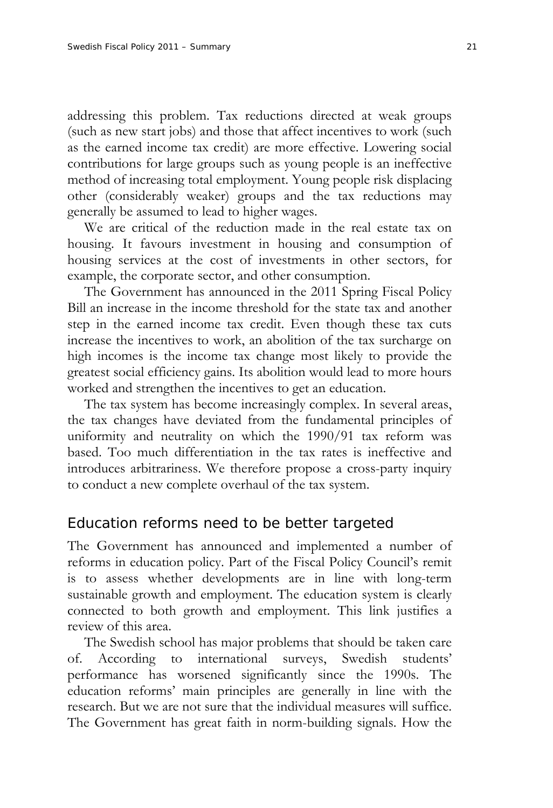addressing this problem. Tax reductions directed at weak groups (such as new start jobs) and those that affect incentives to work (such as the earned income tax credit) are more effective. Lowering social contributions for large groups such as young people is an ineffective method of increasing total employment. Young people risk displacing other (considerably weaker) groups and the tax reductions may generally be assumed to lead to higher wages.

We are critical of the reduction made in the real estate tax on housing. It favours investment in housing and consumption of housing services at the cost of investments in other sectors, for example, the corporate sector, and other consumption.

The Government has announced in the 2011 Spring Fiscal Policy Bill an increase in the income threshold for the state tax and another step in the earned income tax credit. Even though these tax cuts increase the incentives to work, an abolition of the tax surcharge on high incomes is the income tax change most likely to provide the greatest social efficiency gains. Its abolition would lead to more hours worked and strengthen the incentives to get an education.

The tax system has become increasingly complex. In several areas, the tax changes have deviated from the fundamental principles of uniformity and neutrality on which the 1990/91 tax reform was based. Too much differentiation in the tax rates is ineffective and introduces arbitrariness. We therefore propose a cross-party inquiry to conduct a new complete overhaul of the tax system.

#### Education reforms need to be better targeted

The Government has announced and implemented a number of reforms in education policy. Part of the Fiscal Policy Council's remit is to assess whether developments are in line with long-term sustainable growth and employment. The education system is clearly connected to both growth and employment. This link justifies a review of this area.

The Swedish school has major problems that should be taken care of. According to international surveys, Swedish students' performance has worsened significantly since the 1990s. The education reforms' main principles are generally in line with the research. But we are not sure that the individual measures will suffice. The Government has great faith in norm-building signals. How the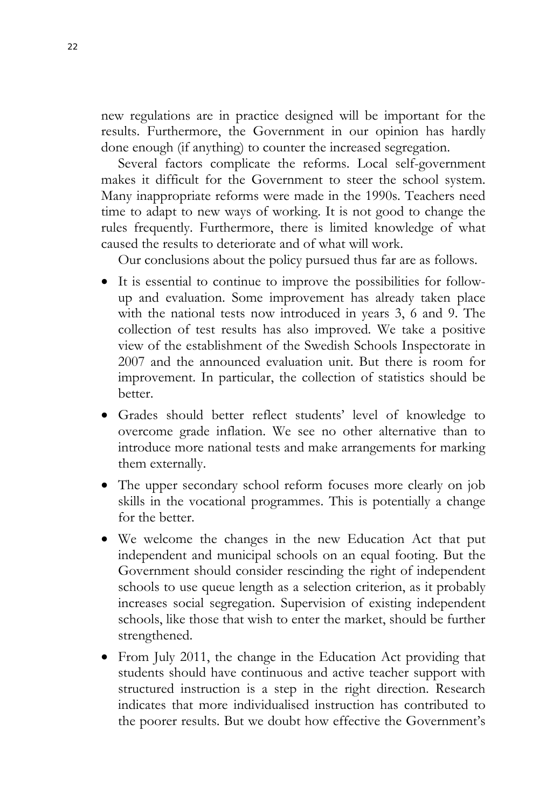new regulations are in practice designed will be important for the results. Furthermore, the Government in our opinion has hardly done enough (if anything) to counter the increased segregation.

Several factors complicate the reforms. Local self-government makes it difficult for the Government to steer the school system. Many inappropriate reforms were made in the 1990s. Teachers need time to adapt to new ways of working. It is not good to change the rules frequently. Furthermore, there is limited knowledge of what caused the results to deteriorate and of what will work.

Our conclusions about the policy pursued thus far are as follows.

- It is essential to continue to improve the possibilities for followup and evaluation. Some improvement has already taken place with the national tests now introduced in years 3, 6 and 9. The collection of test results has also improved. We take a positive view of the establishment of the Swedish Schools Inspectorate in 2007 and the announced evaluation unit. But there is room for improvement. In particular, the collection of statistics should be better.
- Grades should better reflect students' level of knowledge to overcome grade inflation. We see no other alternative than to introduce more national tests and make arrangements for marking them externally.
- The upper secondary school reform focuses more clearly on job skills in the vocational programmes. This is potentially a change for the better.
- We welcome the changes in the new Education Act that put independent and municipal schools on an equal footing. But the Government should consider rescinding the right of independent schools to use queue length as a selection criterion, as it probably increases social segregation. Supervision of existing independent schools, like those that wish to enter the market, should be further strengthened.
- From July 2011, the change in the Education Act providing that students should have continuous and active teacher support with structured instruction is a step in the right direction. Research indicates that more individualised instruction has contributed to the poorer results. But we doubt how effective the Government's